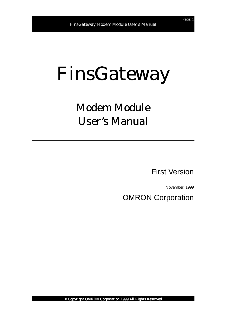# FinsGateway

## Modem Module **User's Manual**

First Version

November, 1999

OMRON Corporation

© Copyright OMRON Corporation 1999 All Rights Reserved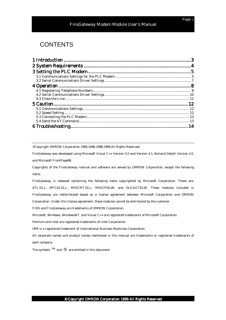#### FinsGateway Modem Module User's Manual

#### **CONTENTS**

©Copyright OMRON Corporation 1995,1996-1998,1999 All Rights Reserved.

FinsGateway was developed using Microsoft Visual C++ Version 5.0 and Version 4.1, Borland Delphi Version 2.0, and Microsoft FrontPage98.

Copyrights of the FinsGateway manual and software are owned by OMRON Corporation, except the following items.

FinsGateway is released containing the following items copyrighted by Microsoft Corporation. These are: ATL.DLL; MFC42.DLL; MSVCRT.DLL; MSVCP50.dll; and OLEAUT32.dll. These modules included in FinsGateway are redistributed based on a license agreement between Microsoft Corporation and OMRON Corporation. Under this license agreement, these modules cannot be distributed by the customer.

FINS and FinsGateway are trademarks of OMRON Corporation.

Microsoft, Windows, WindowsNT, and Visual C++ are registered trademarks of Microsoft Corporation.

Pentium and Intel are registered trademarks of Intel Corporation.

IBM is a registered trademark of International Business Machines Corporation.

All corporate names and product names mentioned in this manual are trademarks or registered trademarks of each company.

The symbols  $TM$  and  $\overline{\Theta}$  are omitted in this document.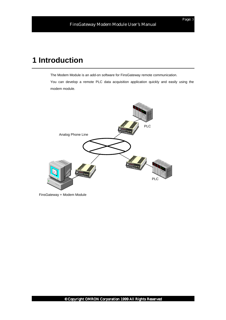### **1 Introduction**

The Modem Module is an add-on software for FinsGateway remote communication.

You can develop a remote PLC data acquisition application quickly and easily using the modem module.



FinsGateway + Modem Module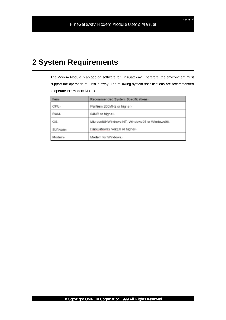### **2 System Requirements**

The Modem Module is an add-on software for FinsGateway. Therefore, the environment must support the operation of FinsGateway. The following system specifications are recommended to operate the Modem Module.

| Item      | Recommended System Specifications              |
|-----------|------------------------------------------------|
| CPU.      | Pentium 200MHz or higher-                      |
| RAM.      | 64MB or higher.                                |
| OS-       | Microsoft® Windows NT, Windows95 or Windows98- |
| Software. | FinsGateway Ver2.0 or higher.                  |
| Modem.    | Modem for Windows.                             |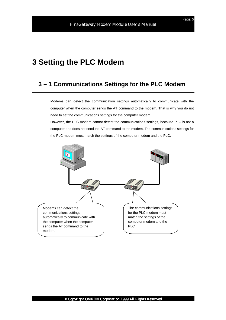### **3 Setting the PLC Modem**

#### **3 – 1 Communications Settings for the PLC Modem**

Modems can detect the communication settings automatically to communicate with the computer when the computer sends the AT command to the modem. That is why you do not need to set the communications settings for the computer modem.

However, the PLC modem cannot detect the communications settings, because PLC is not a computer and does not send the AT command to the modem. The communications settings for the PLC modem must match the settings of the computer modem and the PLC.

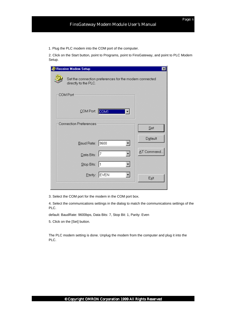1. Plug the PLC modem into the COM port of the computer.

2. Click on the Start button, point to Programs, point to FinsGateway, and point to PLC Modem Setup.

| Receive Modem Setup           |                                                        | $\vert x \vert$ |
|-------------------------------|--------------------------------------------------------|-----------------|
| directly to the PLC.          | Set the connection preferences for the modem connected |                 |
| COM Port                      |                                                        |                 |
| COM Port: COM1                |                                                        |                 |
| <b>Connection Preferences</b> |                                                        | Set             |
| Baud Rate: 9600               |                                                        | Default         |
| Data Bits: 7                  |                                                        | AT Command      |
| Stop Bits: 1                  |                                                        |                 |
|                               | Parity: EVEN                                           | Exit            |

3. Select the COM port for the modem in the COM port box.

4. Select the communications settings in the dialog to match the communications settings of the PLC.

default: BaudRate: 9600bps, Data Bits: 7, Stop Bit: 1, Parity: Even

5. Click on the [Set] button.

The PLC modem setting is done. Unplug the modem from the computer and plug it into the PLC.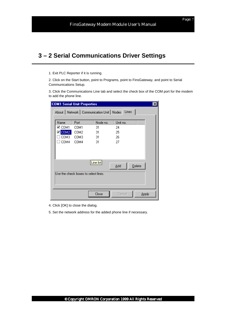### **3 – 2 Serial Communications Driver Settings**

1. Exit PLC Reporter if it is running.

2. Click on the Start button, point to Programs, point to FinsGateway, and point to Serial Communications Setup.

3. Click the Communications Line tab and select the check box of the COM port for the modem to add the phone line.

| <b>COM1 Serial Unit Properties</b> |                                      |           |                                                      |       |
|------------------------------------|--------------------------------------|-----------|------------------------------------------------------|-------|
|                                    |                                      |           | About   Network   Communication Unit   Nodes   Lines |       |
| Name                               | Port                                 | Node no.  | Unit no.                                             |       |
| ⊻ сом1                             | COM1                                 | 31        | 24                                                   |       |
| $\blacksquare$ COM2                | COM <sub>2</sub>                     | 31        | 25                                                   |       |
| COM3                               | COM3                                 | 31        | 26                                                   |       |
| COM4                               | COM4                                 | 31        | 27                                                   |       |
|                                    |                                      |           |                                                      |       |
|                                    |                                      |           |                                                      |       |
|                                    |                                      | Line list | Delete<br>Add                                        |       |
|                                    |                                      |           |                                                      |       |
|                                    | Use the check boxes to select lines. |           |                                                      |       |
|                                    |                                      |           |                                                      |       |
|                                    |                                      |           |                                                      |       |
|                                    |                                      |           |                                                      |       |
|                                    |                                      | Close     | Cancel                                               | Apply |

- 4. Click [OK] to close the dialog.
- 5. Set the network address for the added phone line if necessary.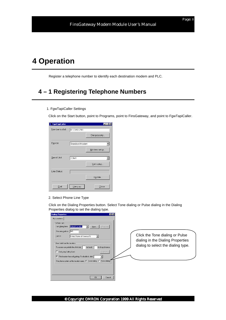### **4 Operation**

Register a telephone number to identify each destination modem and PLC.

### **4 – 1 Registering Telephone Numbers**

1. FgwTapiCaller Settings

Click on the Start button, point to Programs, point to FinsGateway, and point to FgwTapiCaller.

| FgwTapiCaller   |                | $\mathsf{x}$<br>ı. |
|-----------------|----------------|--------------------|
| Number to dial: | 01-2345-6789   |                    |
|                 |                | Dial property      |
| Device:         | Standard Modem |                    |
|                 |                | Modem setup.       |
| Serial Unit:    | COM1           |                    |
|                 |                | Unit setup         |
| Line Status:    |                |                    |
|                 |                | Update.            |
| Dial            | Hang up        | Close              |

#### 2. Select Phone Line Type

Click on the Dialing Properties button. Select Tone dialing or Pulse dialing in the Dialing Properties dialog to set the dialing type.

| <b>Dialing Properties</b><br>7x<br>My Locations<br>=Where I am:<br>I am dialing from:<br>Default Location<br>New<br>Remove<br>The area gode is: 045<br>United States of America [1]<br>I am in:<br>How I dial from this location:<br>To access an outside line, first dial:<br>for long distance.<br>for local,<br>Dial using Calling Card:<br>Change.<br>This location has call waiting. To disable it, dial:<br>The phone system at this location uses: @ Tone dialing @ Pulse dialing<br><b>OK</b><br>Cancel | Click the Tone dialing or Pulse<br>dialing in the Dialing Properties<br>dialog to select the dialing type. |
|-----------------------------------------------------------------------------------------------------------------------------------------------------------------------------------------------------------------------------------------------------------------------------------------------------------------------------------------------------------------------------------------------------------------------------------------------------------------------------------------------------------------|------------------------------------------------------------------------------------------------------------|
|-----------------------------------------------------------------------------------------------------------------------------------------------------------------------------------------------------------------------------------------------------------------------------------------------------------------------------------------------------------------------------------------------------------------------------------------------------------------------------------------------------------------|------------------------------------------------------------------------------------------------------------|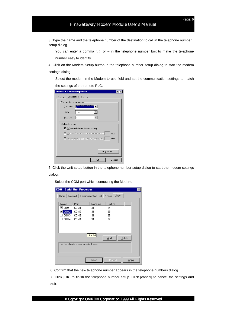3. Type the name and the telephone number of the destination to call in the telephone number setup dialog.

You can enter a comma  $($ ,  $)$ , or  $-$  in the telephone number box to make the telephone number easy to identify.

4. Click on the Modem Setup button in the telephone number setup dialog to start the modem settings dialog.

Select the modem in the Modem to use field and set the communication settings to match the settings of the remote PLC.

| <b>Standard Modem Properties</b>                               |        |
|----------------------------------------------------------------|--------|
| Connection   Options  <br>General                              |        |
| Connection preferences                                         |        |
| Data bits:                                                     |        |
| ∣Even<br>Parity:                                               |        |
| Stop bits:<br>l2                                               |        |
| Call preferences<br>$\nabla$ Wait for dial tone before dialing |        |
| Cancel the call if not connected within                        | secs   |
| $\Box$ Disconnect a call if idle for more than                 | mins   |
| Advanced.                                                      |        |
| 0K                                                             | Cancel |

5. Click the Unit setup button in the telephone number setup dialog to start the modem settings dialog.

Select the COM port which connecting the Modem.

|                     | <b>COM1 Serial Unit Properties</b>   |           |                                                    | $\vert x \vert$ |
|---------------------|--------------------------------------|-----------|----------------------------------------------------|-----------------|
|                     |                                      |           | About   Network   Communication Unit   Nodes Lines |                 |
|                     |                                      |           |                                                    |                 |
| Name                | Port                                 | Node no.  | Unit no.                                           |                 |
| ⊻ сом1              | COM1                                 | 31        | 24                                                 |                 |
| $\blacksquare$ COM2 | COM <sub>2</sub>                     | 31        | 25                                                 |                 |
| COM3                | COM3                                 | 31        | 26                                                 |                 |
| COM4                | COM4                                 | 31        | 27                                                 |                 |
|                     |                                      |           |                                                    |                 |
|                     |                                      |           |                                                    |                 |
|                     |                                      |           |                                                    |                 |
|                     |                                      | Line list |                                                    |                 |
|                     |                                      |           | $D$ elete<br>Add                                   |                 |
|                     | Use the check boxes to select lines. |           |                                                    |                 |
|                     |                                      |           |                                                    |                 |
|                     |                                      |           |                                                    |                 |
|                     |                                      |           |                                                    |                 |
|                     |                                      |           |                                                    |                 |
|                     |                                      | Close     | Cancel                                             | Apply           |
|                     |                                      |           |                                                    |                 |

6. Confirm that the new telephone number appears in the telephone numbers dialog

7. Click [OK] to finish the telephone number setup. Click [cancel] to cancel the settings and quit.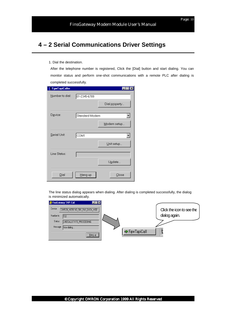### **4 – 2 Serial Communications Driver Settings**

1. Dial the destination.

After the telephone number is registered, Click the [Dial] button and start dialing. You can monitor status and perform one-shot communications with a remote PLC after dialing is completed successfully.

| FgwTapiCaller   |                |               |
|-----------------|----------------|---------------|
| Number to dial: | 01-2345-6789   |               |
|                 |                | Dial property |
| Device:         | Standard Modem |               |
|                 |                | Modem setup   |
| Serial Unit:    | COM1           |               |
|                 |                | Unit setup    |
| Line Status:    |                |               |
|                 |                | Update        |
| Dial            | Hang up        | Close         |

The line status dialog appears when dialing. After dialing is completed successfully, the dialog is minimized automatically.

| FinsGateway TAPI Call<br>$  \square   \square   \times$ |                           |
|---------------------------------------------------------|---------------------------|
| Device<br>OMRON_ME5614D_56K_FAX_DATA_MOD                | Click the icon to see the |
| Number to<br>IT22                                       | dialog again.             |
| Status:<br>LINECALLSTATE_PROCEEDING                     |                           |
| Message: Now dialing                                    |                           |
| Hang up                                                 | <b>⊲⊁</b> FgwTapiCall     |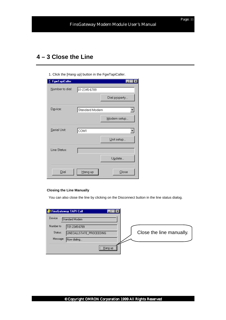#### **4 – 3 Close the Line**

1. Click the [Hang up] button in the FgwTapiCaller.

| FgwTapiCaller   |                |               |
|-----------------|----------------|---------------|
| Number to dial: | 01-2345-6789   |               |
|                 |                | Dial property |
| Device:         | Standard Modem |               |
|                 |                | Modem setup   |
| Serial Unit:    | сом1           |               |
|                 |                | Unit setup    |
| Line Status:    |                |               |
|                 |                | Update        |
| Dial            | Hang up        | Close         |

#### **Closing the Line Manually**

You can also close the line by clicking on the Disconnect button in the line status dialog.

| <b>FinsGateway TAPI Call</b>        |                          |
|-------------------------------------|--------------------------|
| Device<br>Standard Modem            |                          |
| Number to<br>101-2345-6789          |                          |
| Status:<br>LINECALLSTATE_PROCEEDING | Close the line manually. |
| Message:<br>Now dialing             |                          |
| <br>Hang up                         |                          |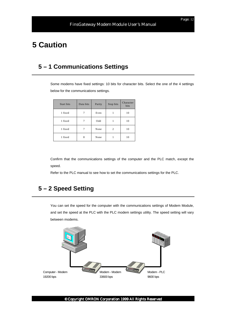### **5 Caution**

### **5 – 1 Communications Settings**

Some modems have fixed settings: 10 bits for character bits. Select the one of the 4 settings below for the communications settings.

| Start bits | Data bits | Parity | Stop bits | Character<br>bits |
|------------|-----------|--------|-----------|-------------------|
| 1 fixed    |           | Even   |           | 10                |
| 1 fixed    | 7         | Odd    |           | 10                |
| 1 fixed    |           | None   | 2         | 10                |
| 1 fixed    | 8         | None   |           | 10                |

Confirm that the communications settings of the computer and the PLC match, except the speed.

Refer to the PLC manual to see how to set the communications settings for the PLC.

#### **5 – 2 Speed Setting**

You can set the speed for the computer with the communications settings of Modem Module, and set the speed at the PLC with the PLC modem settings utility. The speed setting will vary between modems.



© Copyright OMRON Corporation 1999 All Rights Reserved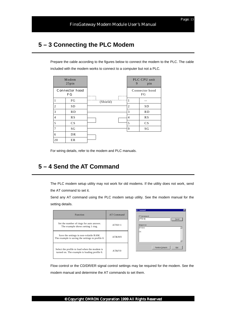### **5 – 3 Connecting the PLC Modem**

Prepare the cable according to the figures below to connect the modem to the PLC. The cable included with the modem works to connect to a computer but not a PLC.

|                | Modem<br>25pin       |          |   | 9 | PLC CPU unit<br>pin  |
|----------------|----------------------|----------|---|---|----------------------|
|                | Connector hood<br>FG |          |   |   | Connector hood<br>FG |
| 1              | FG                   | (Shield) | . |   | --                   |
| $\overline{2}$ | <b>SD</b>            |          |   | 2 | <b>SD</b>            |
| 3              | RD                   |          |   | 3 | RD                   |
| $\overline{4}$ | RS                   |          |   | 4 | RS                   |
| 5              | CS                   |          |   | 5 | CS                   |
| 7              | SG                   |          |   | 9 | SG                   |
| 6              | DR                   |          |   |   |                      |
| 20             | ER                   |          |   |   |                      |

For wiring details, refer to the modem and PLC manuals.

#### **5 – 4 Send the AT Command**

The PLC modem setup utility may not work for old modems. If the utility does not work, send the AT command to set it.

Send any AT command using the PLC modem setup utility. See the modem manual for the setting details.

**Basic** 

| <b>Function</b>                                                                              | AT Command |
|----------------------------------------------------------------------------------------------|------------|
| Set the number of rings for auto answer.<br>The example shows setting 1 ring.                | $ATSO=1$   |
| Save the settings in non-volatile RAM.<br>The example is saving the settings to profile 0.   | AT&W0      |
| Select the profile to load when the modem is<br>turned on. The example is loading profile 0. | AT&Y0      |

| AT Command:<br>ATS0-2 |                  | Send |
|-----------------------|------------------|------|
| Response:             |                  |      |
| ATS0-2                |                  | A.   |
| ОK                    |                  |      |
|                       |                  |      |
|                       |                  |      |
|                       |                  |      |
|                       | Restore Defaults | Exit |
|                       |                  |      |

न्त्र

Flow control or the CD/DR/ER signal control settings may be required for the modem. See the modem manual and determine the AT commands to set them.